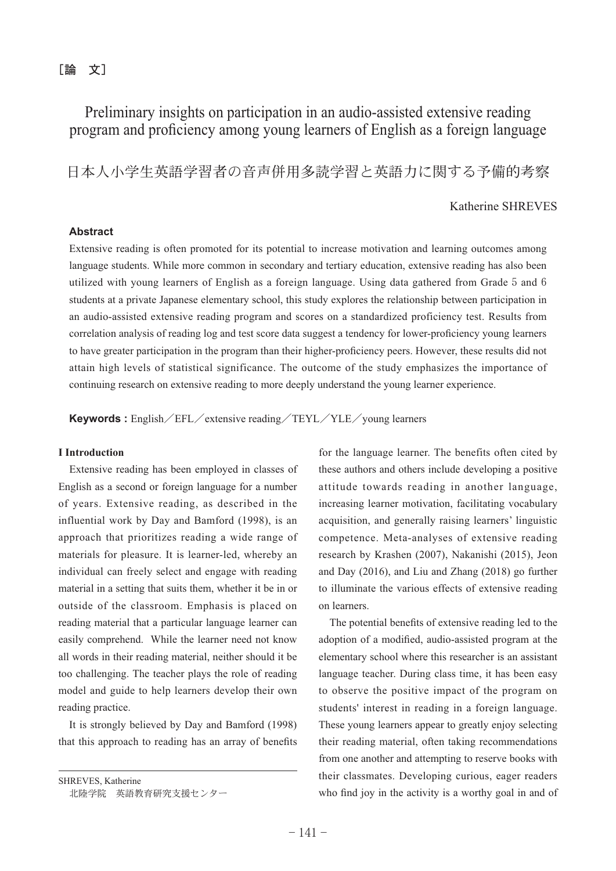$\lceil$ 論 文]

# Preliminary insights on participation in an audio-assisted extensive reading program and proficiency among young learners of English as a foreign language

日本人小学生英語学の音声併用多読学習と英語力に関する予備的考察

# Katherine SHREVES

# **Abstract**

Extensive reading is often promoted for its potential to increase motivation and learning outcomes among language students. While more common in secondary and tertiary education, extensive reading has also been utilized with young learners of English as a foreign language. Using data gathered from Grade 5 and 6 students at a private Japanese elementary school, this study explores the relationship between participation in an audio-assisted extensive reading program and scores on a standardized proficiency test. Results from correlation analysis of reading log and test score data suggest a tendency for lower-proficiency young learners to have greater participation in the program than their higher-proficiency peers. However, these results did not attain high levels of statistical significance. The outcome of the study emphasizes the importance of continuing research on extensive reading to more deeply understand the young learner experience.

**Keywords** : English/EFL/extensive reading/TEYL/YLE/young learners

## **I Introduction**

Extensive reading has been employed in classes of English as a second or foreign language for a number of years. Extensive reading, as described in the influential work by Day and Bamford (1998), is an approach that prioritizes reading a wide range of materials for pleasure. It is learner-led, whereby an individual can freely select and engage with reading material in a setting that suits them, whether it be in or outside of the classroom. Emphasis is placed on reading material that a particular language learner can easily comprehend. While the learner need not know all words in their reading material, neither should it be too challenging. The teacher plays the role of reading model and guide to help learners develop their own reading practice.

It is strongly believed by Day and Bamford  $(1998)$ that this approach to reading has an array of benefits

SHREVES, Katherine 北陸学院 英語教育研究支援センター for the language learner. The benefits often cited by these authors and others include developing a positive attitude towards reading in another language, increasing learner motivation, facilitating vocabulary acquisition, and generally raising learners' linguistic competence. Meta-analyses of extensive reading research by Krashen (2007), Nakanishi (2015), Jeon and Day  $(2016)$ , and Liu and Zhang  $(2018)$  go further to illuminate the various effects of extensive reading on learners.

The potential benefits of extensive reading led to the adoption of a modified, audio-assisted program at the elementary school where this researcher is an assistant language teacher. During class time, it has been easy to observe the positive impact of the program on students' interest in reading in a foreign language. These young learners appear to greatly enjoy selecting their reading material, often taking recommendations from one another and attempting to reserve books with their classmates. Developing curious, eager readers who find joy in the activity is a worthy goal in and of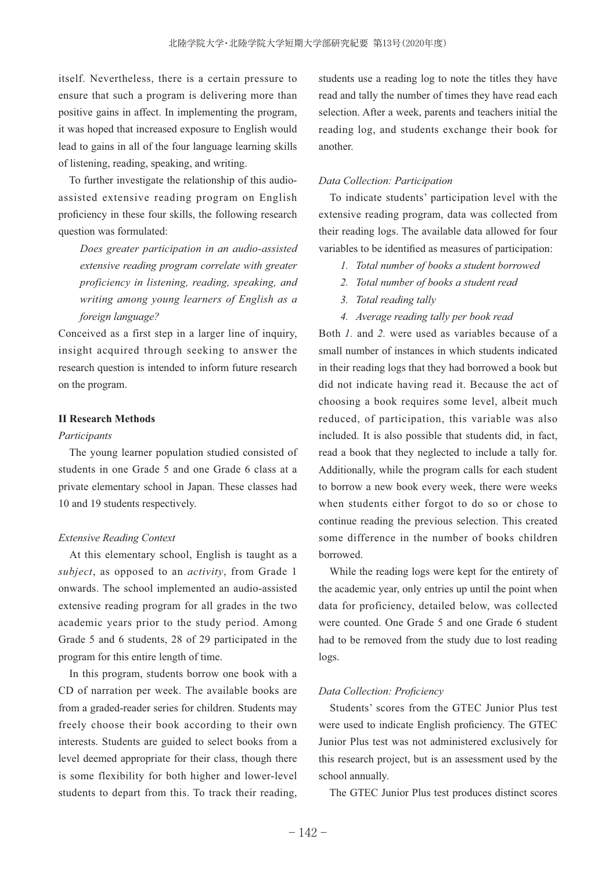itself. Nevertheless, there is a certain pressure to ensure that such a program is delivering more than positive gains in affect. In implementing the program, it was hoped that increased exposure to English would lead to gains in all of the four language learning skills of listening, reading, speaking, and writing.

To further investigate the relationship of this audioassisted extensive reading program on English proficiency in these four skills, the following research question was formulated:

*Does greater participation in an audio-assisted extensive reading program correlate with greater proficiency in listening, reading, speaking, and writing among young learners of English as a foreign language?*

Conceived as a first step in a larger line of inquiry, insight acquired through seeking to answer the research question is intended to inform future research on the program.

## **II Research Methods**

#### *Participants*

The young learner population studied consisted of students in one Grade 5 and one Grade 6 class at a private elementary school in Japan. These classes had 10 and 19 students respectively.

#### *Extensive Reading Context*

At this elementary school, English is taught as a *subject*, as opposed to an *activity*, from Grade 1 onwards. The school implemented an audio-assisted extensive reading program for all grades in the two academic years prior to the study period. Among Grade 5 and 6 students, 28 of 29 participated in the program for this entire length of time.

In this program, students borrow one book with a CD of narration per week. The available books are from a graded-reader series for children. Students may freely choose their book according to their own interests. Students are guided to select books from a level deemed appropriate for their class, though there is some flexibility for both higher and lower-level students to depart from this. To track their reading,

students use a reading log to note the titles they have read and tally the number of times they have read each selection. After a week, parents and teachers initial the reading log, and students exchange their book for another.

#### *Data Collection: Participation*

To indicate students' participation level with the extensive reading program, data was collected from their reading logs. The available data allowed for four variables to be identified as measures of participation:

- *1. Total number of books a student borrowed*
- *2. Total number of books a student read*
- *3. Total reading tally*
- *4. Average reading tally per book read*

Both *1.* and *2.* were used as variables because of a small number of instances in which students indicated in their reading logs that they had borrowed a book but did not indicate having read it. Because the act of choosing a book requires some level, albeit much reduced, of participation, this variable was also included. It is also possible that students did, in fact, read a book that they neglected to include a tally for. Additionally, while the program calls for each student to borrow a new book every week, there were weeks when students either forgot to do so or chose to continue reading the previous selection. This created some difference in the number of books children borrowed.

While the reading logs were kept for the entirety of the academic year, only entries up until the point when data for proficiency, detailed below, was collected were counted. One Grade 5 and one Grade 6 student had to be removed from the study due to lost reading logs.

#### Data Collection: Proficiency

Students' scores from the GTEC Junior Plus test were used to indicate English proficiency. The GTEC Junior Plus test was not administered exclusively for this research project, but is an assessment used by the school annually.

The GTEC Junior Plus test produces distinct scores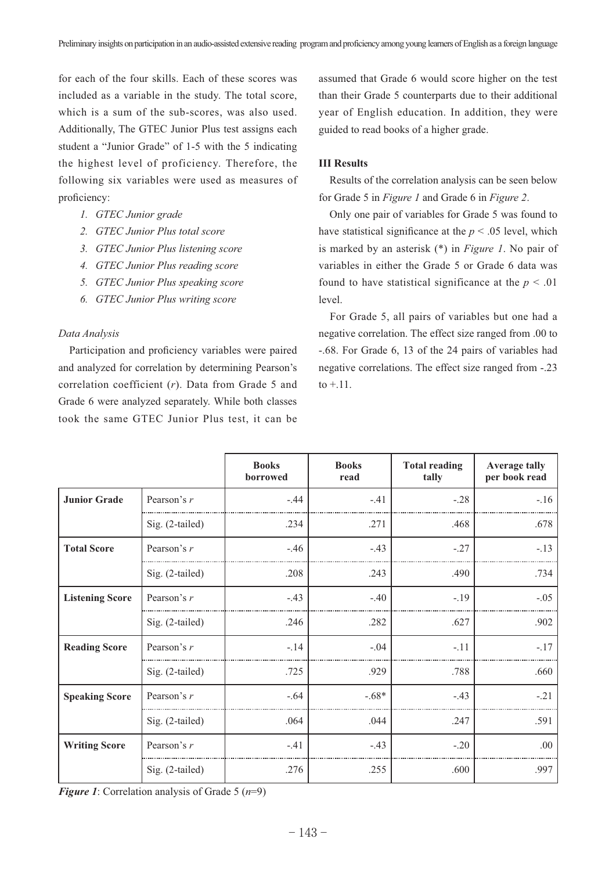for each of the four skills. Each of these scores was included as a variable in the study. The total score, which is a sum of the sub-scores, was also used. Additionally, The GTEC Junior Plus test assigns each student a "Junior Grade" of 1-5 with the 5 indicating the highest level of proficiency. Therefore, the following six variables were used as measures of proficiency:

- *1. GTEC Junior grade*
- *2. GTEC Junior Plus total score*
- *3. GTEC Junior Plus listening score*
- *4. GTEC Junior Plus reading score*
- *5. GTEC Junior Plus speaking score*
- *6. GTEC Junior Plus writing score*

## *Data Analysis*

Participation and proficiency variables were paired and analyzed for correlation by determining Pearson's correlation coefficient  $(r)$ . Data from Grade 5 and Grade 6 were analyzed separately. While both classes took the same GTEC Junior Plus test, it can be assumed that Grade 6 would score higher on the test than their Grade 5 counterparts due to their additional year of English education. In addition, they were guided to read books of a higher grade.

### **III Results**

Results of the correlation analysis can be seen below for Grade 5 in *Figure 1* and Grade 6 in *Figure 2*.

Only one pair of variables for Grade 5 was found to have statistical significance at the  $p < .05$  level, which is marked by an asterisk (\*) in *Figure 1*. No pair of variables in either the Grade 5 or Grade 6 data was found to have statistical significance at the  $p < .01$ level.

For Grade 5, all pairs of variables but one had a negative correlation. The effect size ranged from .00 to -.68. For Grade 6, 13 of the 24 pairs of variables had negative correlations. The effect size ranged from -.23 to  $+11$ .

|                        |                 | <b>Books</b><br>borrowed | <b>Books</b><br>read | <b>Total reading</b><br>tally | <b>Average tally</b><br>per book read |
|------------------------|-----------------|--------------------------|----------------------|-------------------------------|---------------------------------------|
| <b>Junior Grade</b>    | Pearson's r     | $-.44$                   | $-.41$               | $-.28$                        | $-.16$                                |
|                        | Sig. (2-tailed) | .234                     | .271                 | .468                          | .678                                  |
| <b>Total Score</b>     | Pearson's $r$   | $-.46$                   | $-.43$               | $-.27$                        | $-.13$                                |
|                        | Sig. (2-tailed) | .208                     | .243                 | .490                          | .734                                  |
| <b>Listening Score</b> | Pearson's r     | $-.43$                   | $-.40$               | $-19$                         | $-.05$                                |
|                        | Sig. (2-tailed) | .246                     | .282                 | .627                          | .902                                  |
| <b>Reading Score</b>   | Pearson's r     | $-.14$                   | $-.04$               | $-.11$                        | $-.17$                                |
|                        | Sig. (2-tailed) | .725                     | .929                 | .788                          | .660                                  |
| <b>Speaking Score</b>  | Pearson's r     | $-.64$                   | $-.68*$              | $-.43$                        | $-.21$                                |
|                        | Sig. (2-tailed) | .064                     | .044                 | .247                          | .591                                  |
| <b>Writing Score</b>   | Pearson's r     | $-.41$                   | $-.43$               | $-.20$                        | .00                                   |
|                        | Sig. (2-tailed) | .276                     | .255                 | .600                          | .997                                  |

*Figure 1*: Correlation analysis of Grade 5  $(n=9)$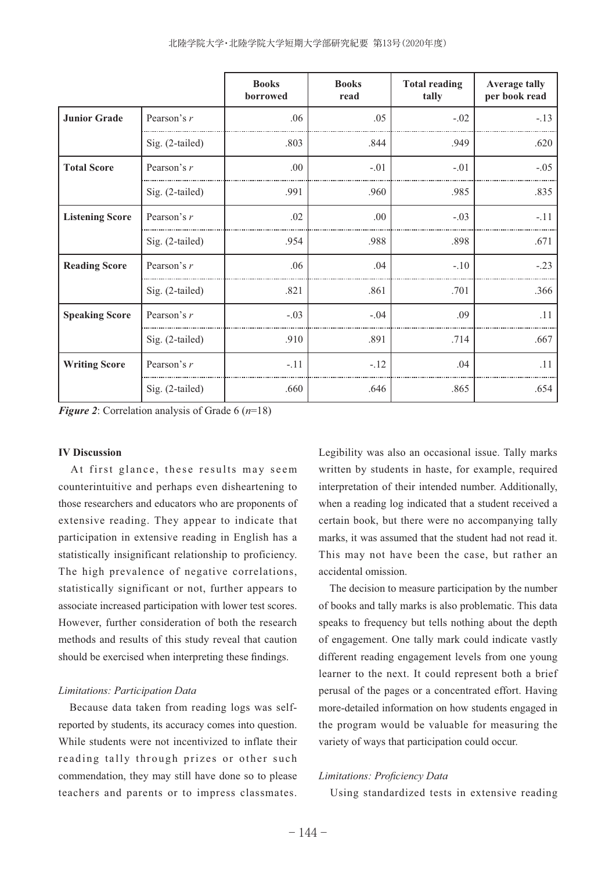|                        |                 | <b>Books</b><br>borrowed | <b>Books</b><br>read | <b>Total reading</b><br>tally | <b>Average tally</b><br>per book read |
|------------------------|-----------------|--------------------------|----------------------|-------------------------------|---------------------------------------|
| <b>Junior Grade</b>    | Pearson's $r$   | .06                      | .05                  | $-.02$                        | $-.13$                                |
|                        | Sig. (2-tailed) | .803                     | .844                 | .949                          | .620                                  |
| <b>Total Score</b>     | Pearson's r     | .00.                     | $-.01$               | $-.01$                        | $-.05$                                |
|                        | Sig. (2-tailed) | .991                     | .960                 | .985                          | .835                                  |
| <b>Listening Score</b> | Pearson's r     | .02                      | .00                  | $-.03$                        | $-.11$                                |
|                        | Sig. (2-tailed) | .954                     | .988                 | .898                          | .671                                  |
| <b>Reading Score</b>   | Pearson's r     | .06                      | .04                  | $-.10$                        | $-.23$                                |
|                        | Sig. (2-tailed) | .821                     | .861                 | .701                          | .366                                  |
| <b>Speaking Score</b>  | Pearson's r     | $-.03$                   | $-.04$               | .09                           | .11                                   |
|                        | Sig. (2-tailed) | .910                     | .891                 | .714                          | .667                                  |
| <b>Writing Score</b>   | Pearson's $r$   | $-.11$                   | $-.12$               | .04                           | .11                                   |
|                        | Sig. (2-tailed) | .660                     | .646                 | .865                          | .654                                  |

*Figure 2*: Correlation analysis of Grade 6  $(n=18)$ 

## **IV Discussion**

At first glance, these results may seem counterintuitive and perhaps even disheartening to those researchers and educators who are proponents of extensive reading. They appear to indicate that participation in extensive reading in English has a statistically insignificant relationship to proficiency. The high prevalence of negative correlations, statistically significant or not, further appears to associate increased participation with lower test scores. However, further consideration of both the research methods and results of this study reveal that caution should be exercised when interpreting these findings.

#### *Limitations: Participation Data*

Because data taken from reading logs was selfreported by students, its accuracy comes into question. While students were not incentivized to inflate their reading tally through prizes or other such commendation, they may still have done so to please teachers and parents or to impress classmates. Legibility was also an occasional issue. Tally marks written by students in haste, for example, required interpretation of their intended number. Additionally, when a reading log indicated that a student received a certain book, but there were no accompanying tally marks, it was assumed that the student had not read it. This may not have been the case, but rather an accidental omission.

The decision to measure participation by the number of books and tally marks is also problematic. This data speaks to frequency but tells nothing about the depth of engagement. One tally mark could indicate vastly different reading engagement levels from one young learner to the next. It could represent both a brief perusal of the pages or a concentrated effort. Having more-detailed information on how students engaged in the program would be valuable for measuring the variety of ways that participation could occur.

## *Limitations: Proficiency Data*

Using standardized tests in extensive reading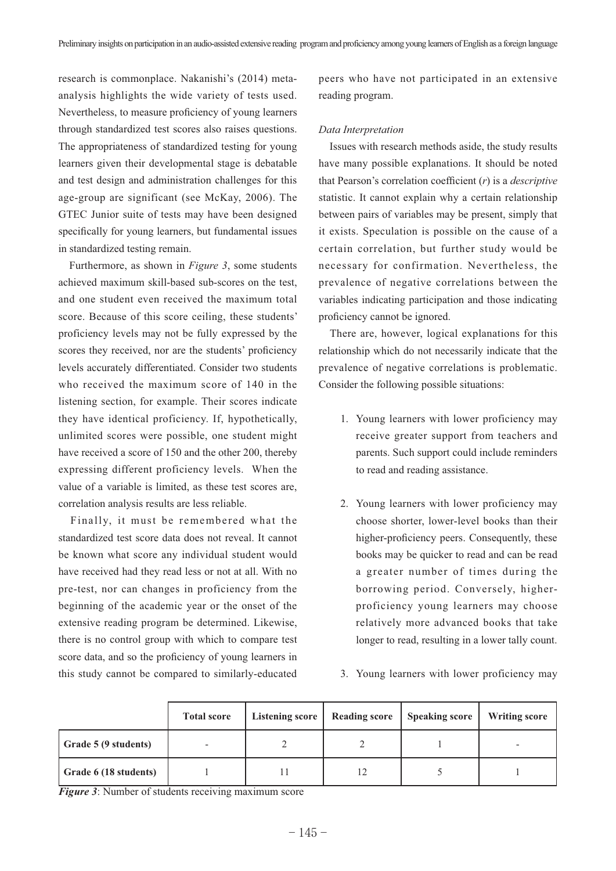research is commonplace. Nakanishi's (2014) metaanalysis highlights the wide variety of tests used. Nevertheless, to measure proficiency of young learners through standardized test scores also raises questions. The appropriateness of standardized testing for young learners given their developmental stage is debatable and test design and administration challenges for this age-group are significant (see McKay, 2006). The GTEC Junior suite of tests may have been designed specifically for young learners, but fundamental issues in standardized testing remain.

Furthermore, as shown in *Figure 3*, some students achieved maximum skill-based sub-scores on the test, and one student even received the maximum total score. Because of this score ceiling, these students' proficiency levels may not be fully expressed by the scores they received, nor are the students' proficiency levels accurately differentiated. Consider two students who received the maximum score of 140 in the listening section, for example. Their scores indicate they have identical proficiency. If, hypothetically, unlimited scores were possible, one student might have received a score of 150 and the other 200, thereby expressing different proficiency levels. When the value of a variable is limited, as these test scores are, correlation analysis results are less reliable.

Finally, it must be remembered what the standardized test score data does not reveal. It cannot be known what score any individual student would have received had they read less or not at all. With no pre-test, nor can changes in proficiency from the beginning of the academic year or the onset of the extensive reading program be determined. Likewise, there is no control group with which to compare test score data, and so the proficiency of young learners in this study cannot be compared to similarly-educated peers who have not participated in an extensive reading program.

## *Data Interpretation*

Issues with research methods aside, the study results have many possible explanations. It should be noted that Pearson's correlation coefficient  $(r)$  is a *descriptive* statistic. It cannot explain why a certain relationship between pairs of variables may be present, simply that it exists. Speculation is possible on the cause of a certain correlation, but further study would be necessary for confirmation. Nevertheless, the prevalence of negative correlations between the variables indicating participation and those indicating proficiency cannot be ignored.

There are, however, logical explanations for this relationship which do not necessarily indicate that the prevalence of negative correlations is problematic. Consider the following possible situations:

- 1. Young learners with lower proficiency may receive greater support from teachers and parents. Such support could include reminders to read and reading assistance.
- 2. Young learners with lower proficiency may choose shorter, lower-level books than their higher-proficiency peers. Consequently, these books may be quicker to read and can be read a greater number of times during the borrowing period. Conversely, higherproficiency young learners may choose relatively more advanced books that take longer to read, resulting in a lower tally count.
- 3. Young learners with lower proficiency may

|                       | <b>Total score</b> | Listening score | <b>Reading score</b> | <b>Speaking score</b> | <b>Writing score</b> |
|-----------------------|--------------------|-----------------|----------------------|-----------------------|----------------------|
| Grade 5 (9 students)  |                    |                 |                      |                       |                      |
| Grade 6 (18 students) |                    |                 |                      |                       |                      |

*Figure 3*: Number of students receiving maximum score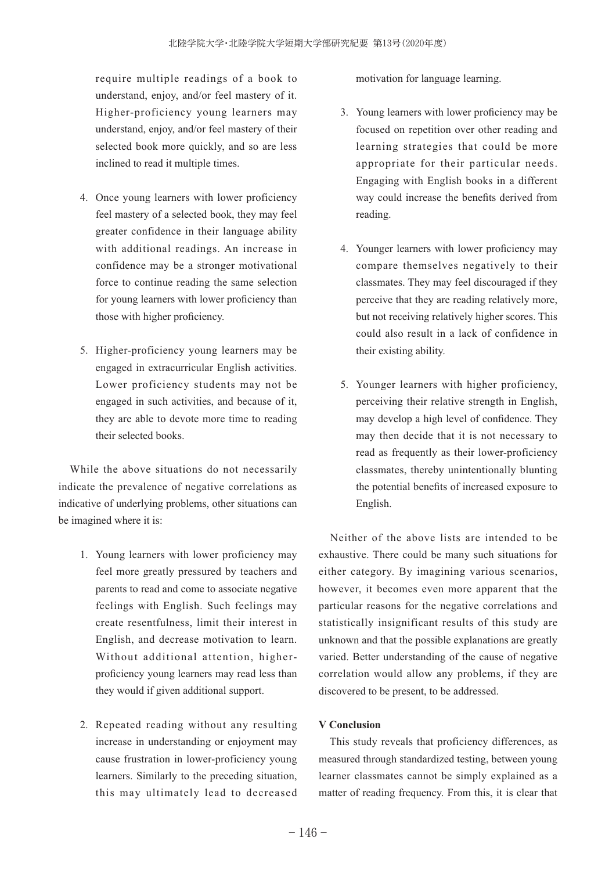require multiple readings of a book to understand, enjoy, and/or feel mastery of it. Higher-proficiency young learners may understand, enjoy, and/or feel mastery of their selected book more quickly, and so are less inclined to read it multiple times.

- 4. Once young learners with lower proficiency feel mastery of a selected book, they may feel greater confidence in their language ability with additional readings. An increase in confidence may be a stronger motivational force to continue reading the same selection for young learners with lower proficiency than those with higher proficiency.
- 5. Higher-proficiency young learners may be engaged in extracurricular English activities. Lower proficiency students may not be engaged in such activities, and because of it, they are able to devote more time to reading their selected books.

While the above situations do not necessarily indicate the prevalence of negative correlations as indicative of underlying problems, other situations can be imagined where it is:

- 1. Young learners with lower proficiency may feel more greatly pressured by teachers and parents to read and come to associate negative feelings with English. Such feelings may create resentfulness, limit their interest in English, and decrease motivation to learn. Without additional attention, higherproficiency young learners may read less than they would if given additional support.
- 2. Repeated reading without any resulting increase in understanding or enjoyment may cause frustration in lower-proficiency young learners. Similarly to the preceding situation, this may ultimately lead to decreased

motivation for language learning.

- 3. Young learners with lower proficiency may be focused on repetition over other reading and learning strategies that could be more appropriate for their particular needs. Engaging with English books in a different way could increase the benefits derived from reading.
- 4. Younger learners with lower proficiency may compare themselves negatively to their classmates. They may feel discouraged if they perceive that they are reading relatively more, but not receiving relatively higher scores. This could also result in a lack of confidence in their existing ability.
- 5. Younger learners with higher proficiency, perceiving their relative strength in English, may develop a high level of confidence. They may then decide that it is not necessary to read as frequently as their lower-proficiency classmates, thereby unintentionally blunting the potential benefits of increased exposure to English.

Neither of the above lists are intended to be exhaustive. There could be many such situations for either category. By imagining various scenarios, however, it becomes even more apparent that the particular reasons for the negative correlations and statistically insignificant results of this study are unknown and that the possible explanations are greatly varied. Better understanding of the cause of negative correlation would allow any problems, if they are discovered to be present, to be addressed.

# **V Conclusion**

This study reveals that proficiency differences, as measured through standardized testing, between young learner classmates cannot be simply explained as a matter of reading frequency. From this, it is clear that